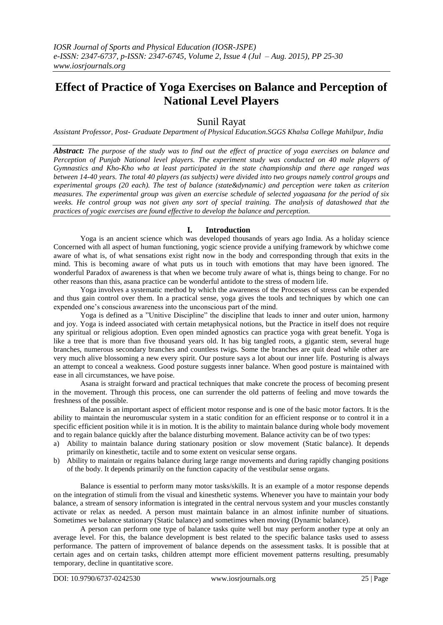# **Effect of Practice of Yoga Exercises on Balance and Perception of National Level Players**

# Sunil Rayat

*Assistant Professor, Post- Graduate Department of Physical Education.SGGS Khalsa College Mahilpur, India*

*Abstract: The purpose of the study was to find out the effect of practice of yoga exercises on balance and Perception of Punjab National level players. The experiment study was conducted on 40 male players of Gymnastics and Kho-Kho who at least participated in the state championship and there age ranged was between 14-40 years. The total 40 players (as subjects) were divided into two groups namely control groups and experimental groups (20 each). The test of balance (state&dynamic) and perception were taken as criterion measures. The experimental group was given an exercise schedule of selected yogaasana for the period of six weeks. He control group was not given any sort of special training. The analysis of datashowed that the practices of yogic exercises are found effective to develop the balance and perception.*

# **I. Introduction**

Yoga is an ancient science which was developed thousands of years ago India. As a holiday science Concerned with all aspect of human functioning, yogic science provide a unifying framework by whichwe come aware of what is, of what sensations exist right now in the body and corresponding through that exits in the mind. This is becoming aware of what puts us in touch with emotions that may have been ignored. The wonderful Paradox of awareness is that when we become truly aware of what is, things being to change. For no other reasons than this, asana practice can be wonderful antidote to the stress of modern life.

Yoga involves a systematic method by which the awareness of the Processes of stress can be expended and thus gain control over them. In a practical sense, yoga gives the tools and techniques by which one can expended one's conscious awareness into the unconscious part of the mind.

Yoga is defined as a "Unitive Discipline" the discipline that leads to inner and outer union, harmony and joy. Yoga is indeed associated with certain metaphysical notions, but the Practice in itself does not require any spiritual or religious adoption. Even open minded agnostics can practice yoga with great benefit. Yoga is like a tree that is more than five thousand years old. It has big tangled roots, a gigantic stem, several huge branches, numerous secondary branches and countless twigs. Some the branches are quit dead while other are very much alive blossoming a new every spirit. Our posture says a lot about our inner life. Posturing is always an attempt to conceal a weakness. Good posture suggests inner balance. When good posture is maintained with ease in all circumstances, we have poise.

Asana is straight forward and practical techniques that make concrete the process of becoming present in the movement. Through this process, one can surrender the old patterns of feeling and move towards the freshness of the possible.

Balance is an important aspect of efficient motor response and is one of the basic motor factors. It is the ability to maintain the neuromuscular system in a static condition for an efficient response or to control it in a specific efficient position while it is in motion. It is the ability to maintain balance during whole body movement and to regain balance quickly after the balance disturbing movement. Balance activity can be of two types:

- a) Ability to maintain balance during stationary position or slow movement (Static balance). It depends primarily on kinesthetic, tactile and to some extent on vesicular sense organs.
- b) Ability to maintain or regains balance during large range movements and during rapidly changing positions of the body. It depends primarily on the function capacity of the vestibular sense organs.

Balance is essential to perform many motor tasks/skills. It is an example of a motor response depends on the integration of stimuli from the visual and kinesthetic systems. Whenever you have to maintain your body balance, a stream of sensory information is integrated in the central nervous system and your muscles constantly activate or relax as needed. A person must maintain balance in an almost infinite number of situations. Sometimes we balance stationary (Static balance) and sometimes when moving (Dynamic balance).

A person can perform one type of balance tasks quite well but may perform another type at only an average level. For this, the balance development is best related to the specific balance tasks used to assess performance. The pattern of improvement of balance depends on the assessment tasks. It is possible that at certain ages and on certain tasks, children attempt more efficient movement patterns resulting, presumably temporary, decline in quantitative score.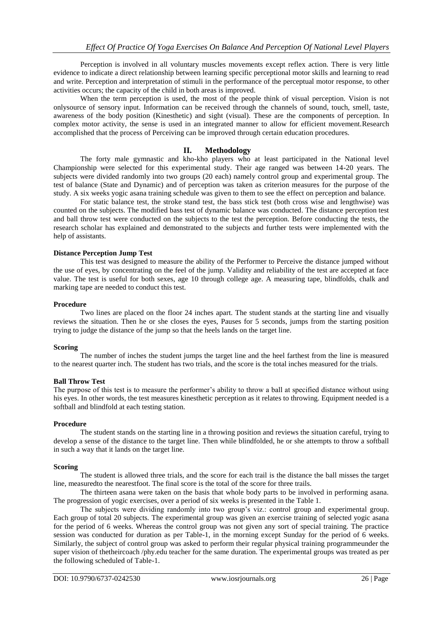Perception is involved in all voluntary muscles movements except reflex action. There is very little evidence to indicate a direct relationship between learning specific perceptional motor skills and learning to read and write. Perception and interpretation of stimuli in the performance of the perceptual motor response, to other activities occurs; the capacity of the child in both areas is improved.

When the term perception is used, the most of the people think of visual perception. Vision is not onlysource of sensory input. Information can be received through the channels of sound, touch, smell, taste, awareness of the body position (Kinesthetic) and sight (visual). These are the components of perception. In complex motor activity, the sense is used in an integrated manner to allow for efficient movement.Research accomplished that the process of Perceiving can be improved through certain education procedures.

### **II. Methodology**

The forty male gymnastic and kho-kho players who at least participated in the National level Championship were selected for this experimental study. Their age ranged was between 14-20 years. The subjects were divided randomly into two groups (20 each) namely control group and experimental group. The test of balance (State and Dynamic) and of perception was taken as criterion measures for the purpose of the study. A six weeks yogic asana training schedule was given to them to see the effect on perception and balance.

For static balance test, the stroke stand test, the bass stick test (both cross wise and lengthwise) was counted on the subjects. The modified bass test of dynamic balance was conducted. The distance perception test and ball throw test were conducted on the subjects to the test the perception. Before conducting the tests, the research scholar has explained and demonstrated to the subjects and further tests were implemented with the help of assistants.

#### **Distance Perception Jump Test**

This test was designed to measure the ability of the Performer to Perceive the distance jumped without the use of eyes, by concentrating on the feel of the jump. Validity and reliability of the test are accepted at face value. The test is useful for both sexes, age 10 through college age. A measuring tape, blindfolds, chalk and marking tape are needed to conduct this test.

#### **Procedure**

Two lines are placed on the floor 24 inches apart. The student stands at the starting line and visually reviews the situation. Then he or she closes the eyes, Pauses for 5 seconds, jumps from the starting position trying to judge the distance of the jump so that the heels lands on the target line.

#### **Scoring**

The number of inches the student jumps the target line and the heel farthest from the line is measured to the nearest quarter inch. The student has two trials, and the score is the total inches measured for the trials.

#### **Ball Throw Test**

The purpose of this test is to measure the performer's ability to throw a ball at specified distance without using his eyes. In other words, the test measures kinesthetic perception as it relates to throwing. Equipment needed is a softball and blindfold at each testing station.

#### **Procedure**

The student stands on the starting line in a throwing position and reviews the situation careful, trying to develop a sense of the distance to the target line. Then while blindfolded, he or she attempts to throw a softball in such a way that it lands on the target line.

#### **Scoring**

The student is allowed three trials, and the score for each trail is the distance the ball misses the target line, measuredto the nearestfoot. The final score is the total of the score for three trails.

The thirteen asana were taken on the basis that whole body parts to be involved in performing asana. The progression of yogic exercises, over a period of six weeks is presented in the Table 1.

The subjects were dividing randomly into two group's viz.: control group and experimental group. Each group of total 20 subjects. The experimental group was given an exercise training of selected yogic asana for the period of 6 weeks. Whereas the control group was not given any sort of special training. The practice session was conducted for duration as per Table-1, in the morning except Sunday for the period of 6 weeks. Similarly, the subject of control group was asked to perform their regular physical training programmeunder the super vision of thetheircoach /phy.edu teacher for the same duration. The experimental groups was treated as per the following scheduled of Table-1.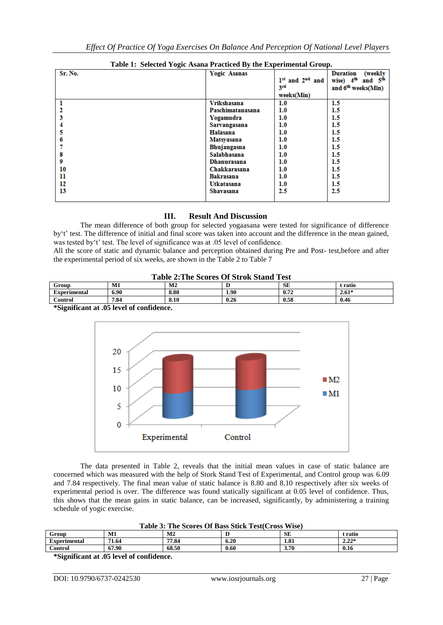| Table 1. Delettu Togic Asana Fracticea By the Experimental Group. |                     |                     |                                    |
|-------------------------------------------------------------------|---------------------|---------------------|------------------------------------|
| Sr. No.                                                           | <b>Yogic Asanas</b> |                     | (weekly<br><b>Duration</b>         |
|                                                                   |                     | $1st$ and $2nd$ and | wise) $4th$<br>and 5 <sup>th</sup> |
|                                                                   |                     | 3rd                 | and 6 <sup>th</sup> weeks(Min)     |
|                                                                   |                     | weeks(Min)          |                                    |
|                                                                   | <b>Vrikshasana</b>  | 1.0                 | 1.5                                |
|                                                                   | Paschimatanasana    | 1.0                 | 1.5                                |
|                                                                   | Yogamudra           | 1.0                 | 1.5                                |
|                                                                   | Sarvangasana        | 1.0                 | $1.5\,$                            |
|                                                                   | Halasana            | 1.0                 | $1.5\,$                            |
|                                                                   | <b>Matsyasana</b>   | 1.0                 | 1.5                                |
|                                                                   | Bhujangasna         | 1.0                 | 1.5                                |
| 8                                                                 | Salabhasana         | 1.0                 | 1.5                                |
| 9                                                                 | Dhanurasana         | 1.0                 | 1.5                                |
| 10                                                                | Chakkarasana        | 1.0                 | $1.5\,$                            |
| 11                                                                | Bakrasana           | 1.0                 | 1.5                                |
| 12                                                                | Utkatasana          | 1.0                 | 1.5                                |
| 13                                                                | <b>Shavasana</b>    | 2.5                 | 2.5                                |
|                                                                   |                     |                     |                                    |

# **Table 1: Selected Yogic Asana Practiced By the Experimental Group.**

# **III. Result And Discussion**

The mean difference of both group for selected yogaasana were tested for significance of difference by't' test. The difference of initial and final score was taken into account and the difference in the mean gained, was tested by't' test. The level of significance was at .05 level of confidence.

All the score of static and dynamic balance and perception obtained during Pre and Post- test,before and after the experimental period of six weeks, are shown in the Table 2 to Table 7

| <b>Table 2: The Scores Of Strok Stand Test</b> |
|------------------------------------------------|
|                                                |

| Group                                        | М1   | M2   |                   | SE   | t ratio |
|----------------------------------------------|------|------|-------------------|------|---------|
| Experimental                                 | 6.90 | 8.80 | 1.90 <sub>1</sub> | 0.72 | $2.61*$ |
| Control                                      | 7.84 | 8.10 | 0.26              | 0.58 | 0.46    |
| $\&$ Cianificant of $\&$ level of confidence |      |      |                   |      |         |

**\*Significant at .05 level of confidence.**



The data presented in Table 2, reveals that the initial mean values in case of static balance are concerned which was measured with the help of Stork Stand Test of Experimental, and Control group was 6.09 and 7.84 respectively. The final mean value of static balance is 8.80 and 8.10 respectively after six weeks of experimental period is over. The difference was found statically significant at 0.05 level of confidence. Thus, this shows that the mean gains in static balance, can be increased, significantly, by administering a training schedule of yogic exercise.

| Table 3: The Scores Of Bass Stick Test (Cross Wise) |       |                |      |      |         |
|-----------------------------------------------------|-------|----------------|------|------|---------|
| Group                                               | M1    | M <sub>2</sub> |      | SE   | t ratio |
| <b>Experimental</b>                                 | 71.64 | 77.84          | 6.20 | 1.81 | $2.22*$ |
| Control                                             | 67.90 | 68.50          | 0.60 | 3.70 | 0.16    |

**\*Significant at .05 level of confidence.**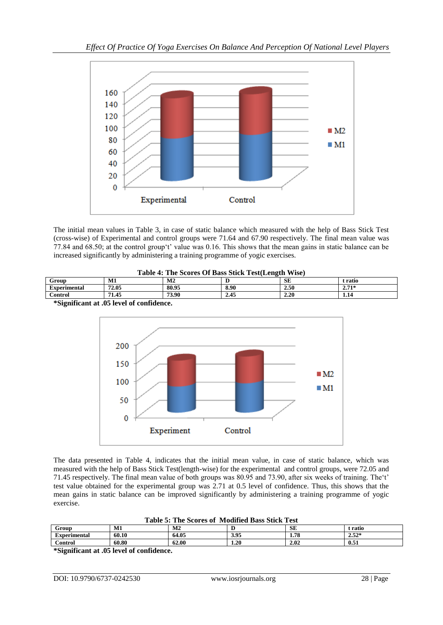

The initial mean values in Table 3, in case of static balance which measured with the help of Bass Stick Test (cross-wise) of Experimental and control groups were 71.64 and 67.90 respectively. The final mean value was 77.84 and 68.50; at the control group't' value was 0.16. This shows that the mean gains in static balance can be increased significantly by administering a training programme of yogic exercises.

| Table 4: The Scores Of Bass Stick Test (Length Wise)     |       |       |      |      |         |  |
|----------------------------------------------------------|-------|-------|------|------|---------|--|
| <b>SE</b><br>M1<br>M <sub>2</sub><br>Group<br>t ratio    |       |       |      |      |         |  |
| <b>Experimental</b>                                      | 72.05 | 80.95 | 8.90 | 2.50 | $2.71*$ |  |
| 73.90<br>71.45<br>2.20<br>2.45<br><b>Control</b><br>1.14 |       |       |      |      |         |  |



**\*Significant at .05 level of confidence.**

The data presented in Table 4, indicates that the initial mean value, in case of static balance, which was measured with the help of Bass Stick Test(length-wise) for the experimental and control groups, were 72.05 and 71.45 respectively. The final mean value of both groups was 80.95 and 73.90, after six weeks of training. The't' test value obtained for the experimental group was 2.71 at 0.5 level of confidence. Thus, this shows that the mean gains in static balance can be improved significantly by administering a training programme of yogic exercise.

| rable 5. The Scores of Modified Dass Stick Fest |       |       |      |           |         |  |
|-------------------------------------------------|-------|-------|------|-----------|---------|--|
| Grour                                           | М1    | M2    |      | <b>SE</b> | `ratio  |  |
| Experimental                                    | 60.10 | 64.05 | 3.95 | 1.78      | $2.52*$ |  |
| <b>Control</b>                                  | 60.80 | 62.00 | 1.20 | 2.02      | 0.51    |  |

**Table 5: The Scores of Modified Bass Stick Test**

**\*Significant at .05 level of confidence.**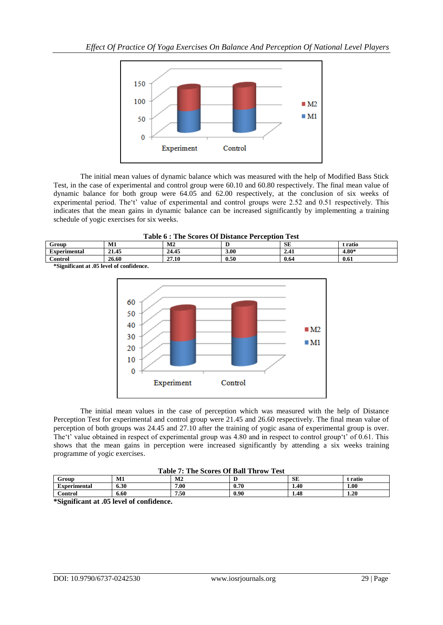

The initial mean values of dynamic balance which was measured with the help of Modified Bass Stick Test, in the case of experimental and control group were 60.10 and 60.80 respectively. The final mean value of dynamic balance for both group were 64.05 and 62.00 respectively, at the conclusion of six weeks of experimental period. The't' value of experimental and control groups were 2.52 and 0.51 respectively. This indicates that the mean gains in dynamic balance can be increased significantly by implementing a training schedule of yogic exercises for six weeks.

|  | Table 6 : The Scores Of Distance Perception Test |
|--|--------------------------------------------------|
|  |                                                  |

| Group               | M1                  | M <sub>2</sub> |      | <b>SE</b> | : ratio |
|---------------------|---------------------|----------------|------|-----------|---------|
| <b>Experimental</b> | 21.45               | 24.45          | 3.00 | 4.4 L     | $4.80*$ |
| Control             | 26.60               | 27.10          | 0.50 | 0.64      | 0.61    |
|                     | ---<br>$\sim$<br>__ |                |      |           |         |

**\*Significant at .05 level of confidence.**



The initial mean values in the case of perception which was measured with the help of Distance Perception Test for experimental and control group were 21.45 and 26.60 respectively. The final mean value of perception of both groups was 24.45 and 27.10 after the training of yogic asana of experimental group is over. The't' value obtained in respect of experimental group was 4.80 and in respect to control group't' of 0.61. This shows that the mean gains in perception were increased significantly by attending a six weeks training programme of yogic exercises.

#### **Table 7: The Scores Of Ball Throw Test**

| ----------<br>--------------<br>------- |      |                         |      |           |       |  |
|-----------------------------------------|------|-------------------------|------|-----------|-------|--|
| Group                                   | M1   | $\overline{a}$<br>IVLZ. |      | <b>SE</b> | ratio |  |
| Experimental                            | 6.30 | 7.00                    | 0.70 | 1.40      | 1.00  |  |
| <b>Control</b>                          | 6.60 | 1.50                    | 0.90 | 1.48      | 1.20  |  |
|                                         |      |                         |      |           |       |  |

**\*Significant at .05 level of confidence.**